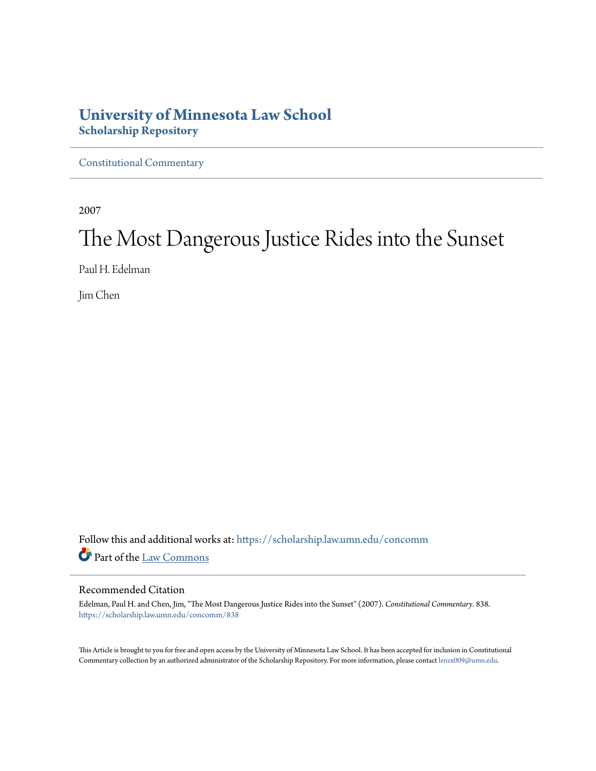# **University of Minnesota Law School [Scholarship Repository](https://scholarship.law.umn.edu?utm_source=scholarship.law.umn.edu%2Fconcomm%2F838&utm_medium=PDF&utm_campaign=PDFCoverPages)**

[Constitutional Commentary](https://scholarship.law.umn.edu/concomm?utm_source=scholarship.law.umn.edu%2Fconcomm%2F838&utm_medium=PDF&utm_campaign=PDFCoverPages)

2007

# The Most Dangerous Justice Rides into the Sunset

Paul H. Edelman

Jim Chen

Follow this and additional works at: [https://scholarship.law.umn.edu/concomm](https://scholarship.law.umn.edu/concomm?utm_source=scholarship.law.umn.edu%2Fconcomm%2F838&utm_medium=PDF&utm_campaign=PDFCoverPages) Part of the [Law Commons](http://network.bepress.com/hgg/discipline/578?utm_source=scholarship.law.umn.edu%2Fconcomm%2F838&utm_medium=PDF&utm_campaign=PDFCoverPages)

### Recommended Citation

Edelman, Paul H. and Chen, Jim, "The Most Dangerous Justice Rides into the Sunset" (2007). *Constitutional Commentary*. 838. [https://scholarship.law.umn.edu/concomm/838](https://scholarship.law.umn.edu/concomm/838?utm_source=scholarship.law.umn.edu%2Fconcomm%2F838&utm_medium=PDF&utm_campaign=PDFCoverPages)

This Article is brought to you for free and open access by the University of Minnesota Law School. It has been accepted for inclusion in Constitutional Commentary collection by an authorized administrator of the Scholarship Repository. For more information, please contact [lenzx009@umn.edu](mailto:lenzx009@umn.edu).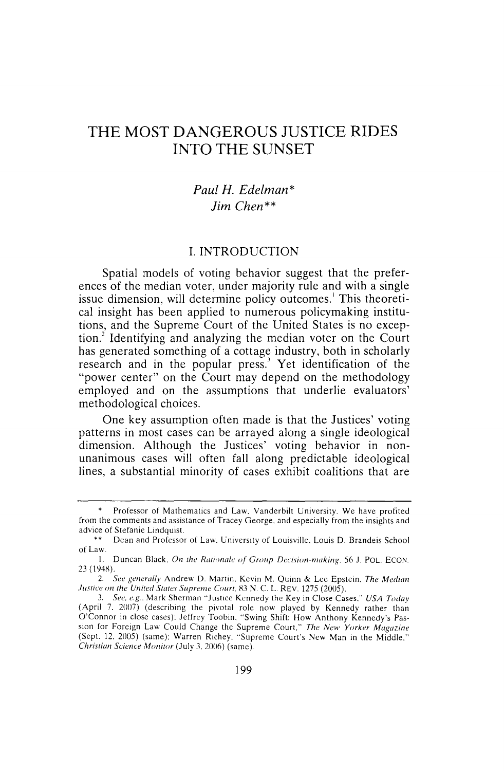# **THE MOST DANGEROUS JUSTICE RIDES INTO THE SUNSET**

### *Paul H. Edelman\* Jim Chen\*\**

### I. INTRODUCTION

Spatial models of voting behavior suggest that the preferences of the median voter, under majority rule and with a single issue dimension, will determine policy outcomes.<sup>1</sup> This theoretical insight has been applied to numerous policymaking institutions, and the Supreme Court of the United States is no exception.<sup>2</sup> Identifying and analyzing the median voter on the Court has generated something of a cottage industry, both in scholarly research and in the popular press.' Yet identification of the "power center" on the Court may depend on the methodology employed and on the assumptions that underlie evaluators' methodological choices.

One key assumption often made is that the Justices' voting patterns in most cases can be arrayed along a single ideological dimension. Although the Justices' voting behavior in nonunanimous cases will often fall along predictable ideological lines, a substantial minority of cases exhibit coalitions that are

Professor of Mathematics and Law. Vanderbilt University. We have profited from the comments and assistance of Tracey George. and especially from the insights and advice of Stefanie Lindquist.

<sup>••</sup> Dean and Professor of Law. University of Louisville. Louis D. Brandeis School of Law.

I. Duncan Black. *On the Rationale of Group Decision-making.* 56 J. POL. ECON. 23 (194X).

<sup>2.</sup> See generally Andrew D. Martin. Kevin M. Quinn & Lee Epstein. The Median *Justice on the United States Supreme Court, 83 N.C. L. REV. 1275 (2005).* 

<sup>3.</sup> *See, e.g.* Mark Sherman "Justice Kennedy the Key in Close Cases." *USA Today*  (April 7. 2007) (describing the pivotal role now played by Kennedy rather than O'Connor in close cases): Jeffrey Toobin. "Swing Shift: How Anthony Kennedy's Passion for Foreign Law Could Change the Supreme Court." *The New Yorker Magazine*  (Sept. 12. 2005) (same): Warren Richey. "Supreme Court's New Man in the Middle." *Christian Science Monitor* (July 3. 2006) (same).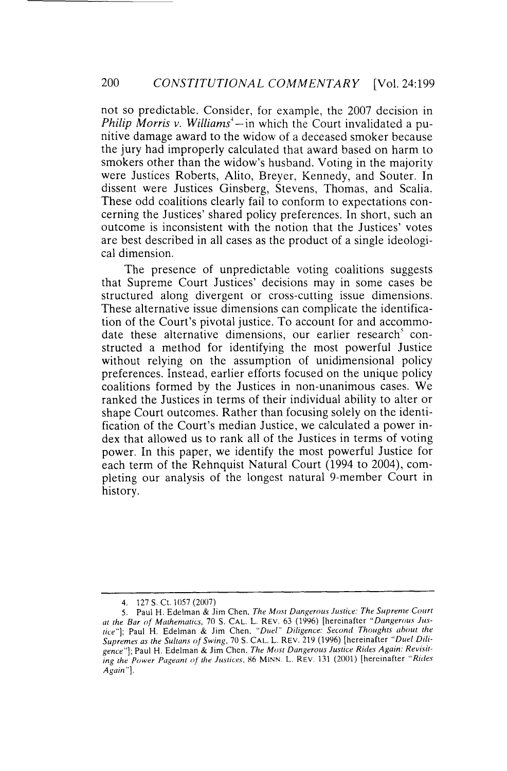not so predictable. Consider, for example, the 2007 decision in *Philip Morris v. Williams*<sup> $\text{--}$  - in which the Court invalidated a pu-</sup> nitive damage award to the widow of a deceased smoker because the jury had improperly calculated that award based on harm to smokers other than the widow's husband. Voting in the majority were Justices Roberts, Alito, Breyer, Kennedy, and Souter. In dissent were Justices Ginsberg, Stevens, Thomas, and Scalia. These odd coalitions clearly fail to conform to expectations concerning the Justices' shared policy preferences. In short, such an outcome is inconsistent with the notion that the Justices' votes are best described in all cases as the product of a single ideological dimension.

The presence of unpredictable voting coalitions suggests that Supreme Court Justices' decisions may in some cases be structured along divergent or cross-cutting issue dimensions. These alternative issue dimensions can complicate the identification of the Court's pivotal justice. To account for and accommodate these alternative dimensions, our earlier research' constructed a method for identifying the most powerful Justice without relying on the assumption of unidimensional policy preferences. Instead, earlier efforts focused on the unique policy coalitions formed by the Justices in non-unanimous cases. We ranked the Justices in terms of their individual ability to alter or shape Court outcomes. Rather than focusing solely on the identification of the Court's median Justice, we calculated a power index that allowed us to rank all of the Justices in terms of voting power. In this paper, we identify the most powerful Justice for each term of the Rehnquist Natural Court (1994 to 2004), completing our analysis of the longest natural 9-member Court in history.

<sup>4. 127</sup> S. Ct. 1057 (2007)

<sup>5.</sup> Paul H. Edelman & Jim Chen. *The Most Dangerous Justice: The Supreme Court* at the Bar of Mathematics, 70 S. CAL. L. REV. 63 (1996) [hereinafter *"Dangerous Justice"];* Paul H. Edelman & Jim Chen. *"Duel" Diligence: Second Thoughts ahout the Supremes as the Sultans of Swing,* 70S. CAL. L. REV. 219 (1996) [hereinafter *"Duel Diligence"];* Paul H. Edelman & Jim Chen. *The Most Dangerous Justice Rides Again: Revisit*ing the Power Pageant of the Justices. 86 MINN. L. REV. 131 (2001) [hereinafter "Rides *Again"].*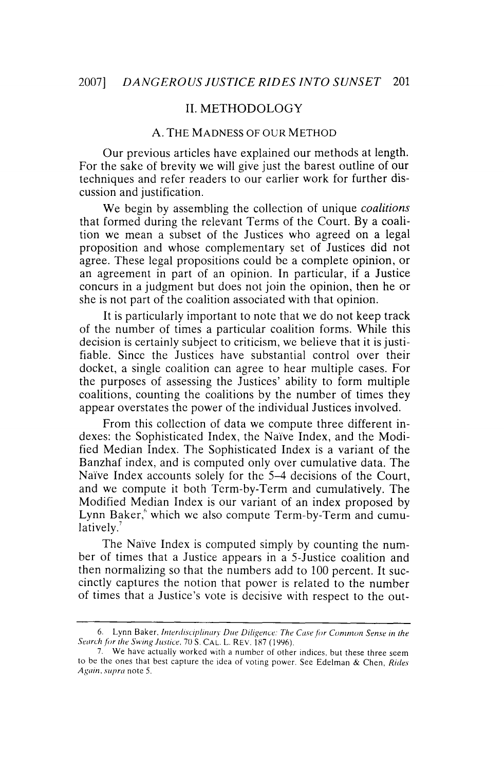#### II. METHODOLOGY

#### A. THE MADNESS OF OUR METHOD

Our previous articles have explained our methods at length. For the sake of brevity we will give just the barest outline of our techniques and refer readers to our earlier work for further discussion and justification.

We begin by assembling the collection of unique *coalitions*  that formed during the relevant Terms of the Court. By a coalition we mean a subset of the Justices who agreed on a legal proposition and whose complementary set of Justices did not agree. These legal propositions could be a complete opinion, or an agreement in part of an opinion. In particular, if a Justice concurs in a judgment but does not join the opinion, then he or she is not part of the coalition associated with that opinion.

It is particularly important to note that we do not keep track of the number of times a particular coalition forms. While this decision is certainly subject to criticism, we believe that it is justifiable. Since the Justices have substantial control over their docket, a single coalition can agree to hear multiple cases. For the purposes of assessing the Justices' ability to form multiple coalitions, counting the coalitions by the number of times they appear overstates the power of the individual Justices involved.

From this collection of data we compute three different indexes: the Sophisticated Index, the Naïve Index, and the Modified Median Index. The Sophisticated Index is a variant of the Banzhaf index, and is computed only over cumulative data. The Naive Index accounts solely for the 5-4 decisions of the Court, and we compute it both Term-by-Term and cumulatively. The Modified Median Index is our variant of an index proposed by Lynn Baker,<sup>6</sup> which we also compute Term-by-Term and cumulatively.<sup>7</sup>

The Naive Index is computed simply by counting the number of times that a Justice appears in a 5-Justice coalition and then normalizing so that the numbers add to 100 percent. It succinctly captures the notion that power is related to the number of times that a Justice's vote is decisive with respect to the out-

<sup>6.</sup> Lynn Baker, *Interdisciplinary Due Diligence: The Case for Common Sense in the Search for the Swing Justice*, 70 S. CAL. L. REV. 187 (1996).

<sup>7.</sup> We have actually worked with a number of other indices. but these three seem to be the ones that best capture the idea of voting power. See Edelman & Chen, *Rides Again. supra* note 5.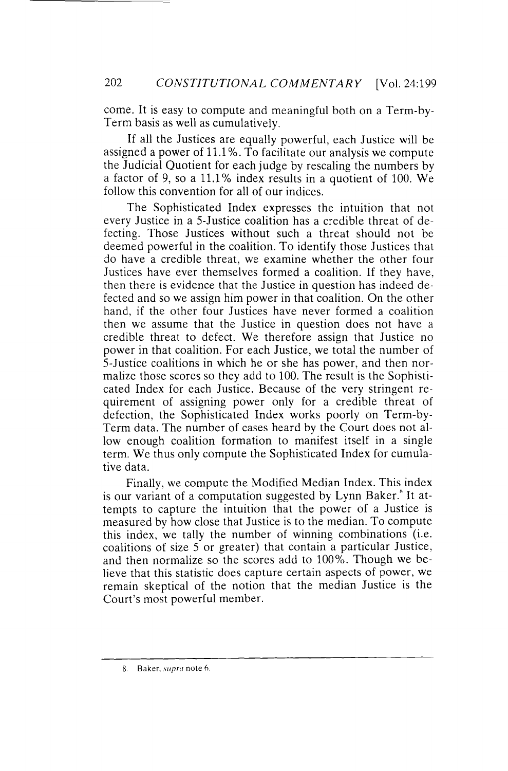come. It is easy to compute and meaningful both on a Term-by-Term basis as well as cumulatively.

If all the Justices are equally powerful, each Justice will be assigned a power of 11.1 %. To facilitate our analysis we compute the Judicial Quotient for each judge by rescaling the numbers by a factor of 9, so a 11.1% index results in a quotient of 100. We follow this convention for all of our indices.

The Sophisticated Index expresses the intuition that not every Justice in a 5-Justice coalition has a credible threat of defecting. Those Justices without such a threat should not be deemed powerful in the coalition. To identify those Justices that do have a credible threat, we examine whether the other four Justices have ever themselves formed a coalition. If they have, then there is evidence that the Justice in question has indeed defected and so we assign him power in that coalition. On the other hand, if the other four Justices have never formed a coalition then we assume that the Justice in question does not have a credible threat to defect. We therefore assign that Justice no power in that coalition. For each Justice, we total the number of 5-Justice coalitions in which he or she has power, and then normalize those scores so they add to 100. The result is the Sophisticated Index for each Justice. Because of the very stringent requirement of assigning power only for a credible threat of defection, the Sophisticated Index works poorly on Term-by-Term data. The number of cases heard by the Court does not allow enough coalition formation to manifest itself in a single term. We thus only compute the Sophisticated Index for cumulative data.

Finally, we compute the Modified Median Index. This index is our variant of a computation suggested by Lynn Baker." It attempts to capture the intuition that the power of a Justice is measured by how close that Justice is to the median. To compute this index, we tally the number of winning combinations (i.e. coalitions of size 5 or greater) that contain a particular Justice, and then normalize so the scores add to 100%. Though we believe that this statistic does capture certain aspects of power, we remain skeptical of the notion that the median Justice is the Court's most powerful member.

<sup>8.</sup> Baker, *supra* note 6.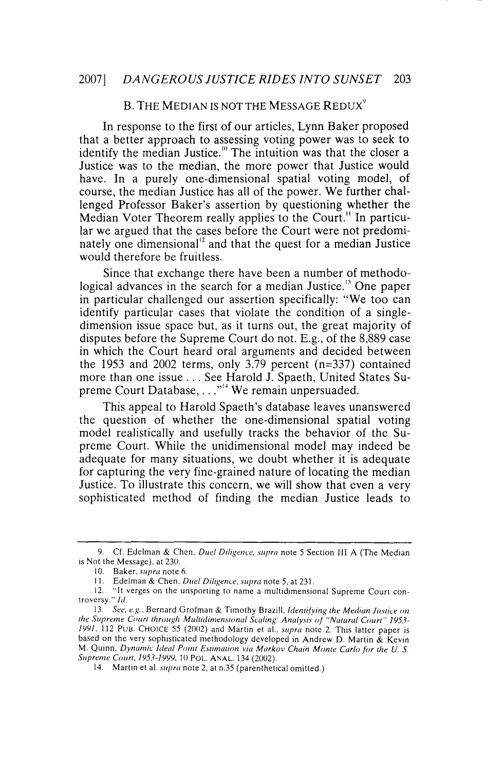### B. THE MEDIAN IS NOT THE MESSAGE REDUX<sup>9</sup>

In response to the first of our articles, Lynn Baker proposed that a better approach to assessing voting power was to seek to identify the median Justice." The intuition was that the closer a Justice was to the median, the more power that Justice would have. In a purely one-dimensional spatial voting model, of course, the median Justice has all of the power. We further challenged Professor Baker's assertion by questioning whether the Median Voter Theorem really applies to the Court." In particular we argued that the cases before the Court were not predominately one dimensional<sup>12</sup> and that the quest for a median Justice would therefore be fruitless.

Since that exchange there have been a number of methodological advances in the search for a median Justice.<sup>13</sup> One paper in particular challenged our assertion specifically: "We too can identify particular cases that violate the condition of a singledimension issue space but, as it turns out, the great majority of disputes before the Supreme Court do not. E.g., of the 8,889 case in which the Court heard oral arguments and decided between the 1953 and 2002 terms, only 3.79 percent (n=337) contained more than one issue ... See Harold J. Spaeth, United States Supreme Court Database, . . ."<sup>14</sup> We remain unpersuaded.

This appeal to Harold Spaeth's database leaves unanswered the question of whether the one-dimensional spatial voting model realistically and usefully tracks the behavior of the Supreme Court. While the unidimensional model may indeed be adequate for many situations, we doubt whether it is adequate for capturing the very fine-grained nature of locating the median Justice. To illustrate this concern, we will show that even a very sophisticated method of finding the median Justice leads to

<sup>9.</sup> Cf. Edelman & Chen. *Duel Diligence, supra* note 5 Section III A (The Median is Not the Message). at 230.

<sup>10.</sup> Baker. *supra* note 6.

II. Edelman & Chen, *Duel Diligence. supra* note 5, at 231.

<sup>12. &</sup>quot;It verges on the unsporting to name a multidimensional Supreme Court controversy." */d.* 

<sup>13.</sup> *See, e.g ..* Bernard Grofman & Timothy Brazill, *ldenti{ying the Median Justice* <sup>011</sup> *1he Supreme Coun through Muilidimensional Scaling: Analysis of "Natural Courl'' ]1)53- JI)I)J.* 112 PUB. CHOICE 55 (2002) and Martin et al., *supra* note 2. This latter paper is based on the very sophisticated methodology developed in Andrew D. Martin & Kevin M. Quinn, *Dynamic Ideal Point Estimation via Markov Chain Monte Carlo for the U. S.* Supreme Court, 1953-1999, 10 POL. ANAL. 134 (2002).

<sup>14.</sup> Martinet al. *supra* note 2. at n.35 (parenthetical omitted.)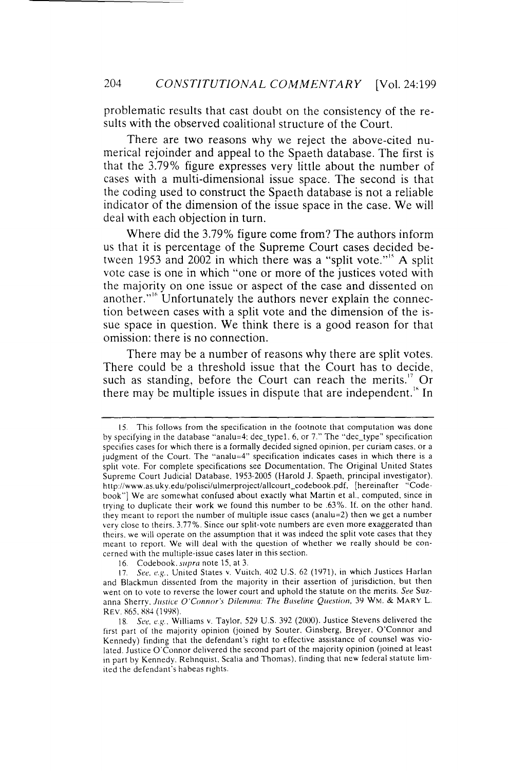problematic results that cast doubt on the consistency of the results with the observed coalitional structure of the Court.

There are two reasons why we reject the above-cited numerical rejoinder and appeal to the Spaeth database. The first is that the 3.79% figure expresses very little about the number of cases with a multi-dimensional issue space. The second is that the coding used to construct the Spaeth database is not a reliable indicator of the dimension of the issue space in the case. We will deal with each objection in turn.

Where did the 3.79% figure come from? The authors inform us that it is percentage of the Supreme Court cases decided between 1953 and 2002 in which there was a "split vote."<sup>15</sup> A split vote case is one in which "one or more of the justices voted with the majority on one issue or aspect of the case and dissented on another."<sup>16</sup> Unfortunately the authors never explain the connection between cases with a split vote and the dimension of the issue space in question. We think there is a good reason for that omission: there is no connection.

There may be a number of reasons why there are split votes. There could be a threshold issue that the Court has to decide, such as standing, before the Court can reach the merits.<sup>17</sup> Or there may be multiple issues in dispute that are independent.<sup>18</sup> In

<sup>15.</sup> This follows from the specification in the footnote that computation was done by specifying in the database "analu=4: dec\_typel. 6. or 7." The "dec\_type" specification specifies cases for which there is a formally decided signed opinion, per curiam cases. or a judgment of the Court. The "analu=4" specification indicates cases in which there is a split vote. For complete specifications see Documentation, The Original United States Supreme Court Judicial Database. 1953-2005 (Harold J. Spaeth, principal investigator). http://www.as.uky.edu/polisci/ulmerproject/allcourt\_codebook.pdf, [hereinafter "Codebook"] We are somewhat confused about exactly what Martin et al., computed, since in trying to duplicate their work we found this number to be .63%. If. on the other hand. they meant to report the number of multiple issue cases (analu=2) then we get a number very close to theirs. 3.77%. Since our split-vote numbers are even more exaggerated than theirs. we will operate on the assumption that it was indeed the split vote cases that they meant to report. We will deal with the question of whether we really should be concerned with the multiple-issue cases later in this section.

<sup>16.</sup> Codebook. *supra* note 15, at 3.

<sup>17.</sup> *See. e.g ..* United States v. Vuitch. 402 U.S. 62 (1971), in which Justices Harlan and Blackmun dissented from the majority in their assertion of jurisdiction, but then went on to vote to reverse the lower court and uphold the statute on the merits. *See* Suzanna Sherry. *Justice O'Connor's Dilemma: The Baseline Question,* 39 WM. & MARY L. REV. S65. SS4 (199S).

<sup>18.</sup> *See. e.g ..* Williams v. Taylor. 529 U.S. 392 (2000). Justice Stevens delivered the first part of the majority opinion (joined by Souter. Ginsberg, Breyer. O'Connor and Kennedy) finding that the defendant's right to effective assistance of counsel was violated. Justice O'Connor delivered the second part of the majority opinion (joined at least in part by Kennedy. Rehnquist. Scalia and Thomas). finding that new federal statute limited the defendant's habeas nghts.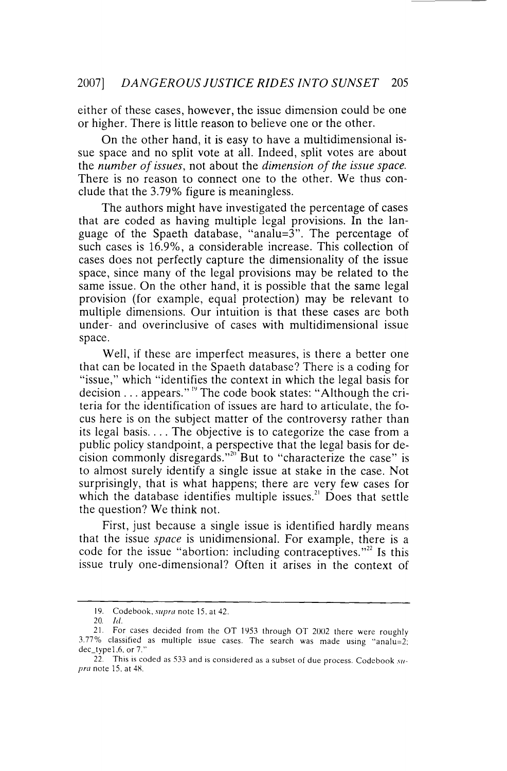either of these cases, however, the issue dimension could be one or higher. There is little reason to believe one or the other.

On the other hand, it is easy to have a multidimensional issue space and no split vote at all. Indeed, split votes are about the *number of issues,* not about the *dimension of the issue space.*  There is no reason to connect one to the other. We thus conclude that the 3.79% figure is meaningless.

The authors might have investigated the percentage of cases that are coded as having multiple legal provisions. In the language of the Spaeth database, "analu=3". The percentage of such cases is 16.9%, a considerable increase. This collection of cases does not perfectly capture the dimensionality of the issue space, since many of the legal provisions may be related to the same issue. On the other hand, it is possible that the same legal provision (for example, equal protection) may be relevant to multiple dimensions. Our intuition is that these cases are both under- and overinclusive of cases with multidimensional issue space.

Well, if these are imperfect measures, is there a better one that can be located in the Spaeth database? There is a coding for "issue," which "identifies the context in which the legal basis for decision  $\ldots$  appears."<sup>19</sup> The code book states: "Although the criteria for the identification of issues are hard to articulate, the focus here is on the subject matter of the controversy rather than its legal basis .... The objective is to categorize the case from a public policy standpoint, a perspective that the legal basis for decision commonly disregards."<sup>20</sup> But to "characterize the case" is to almost surely identify a single issue at stake in the case. Not surprisingly, that is what happens; there are very few cases for which the database identifies multiple issues.<sup>21</sup> Does that settle the question? We think not.

First, just because a single issue is identified hardly means that the issue *space* is unidimensional. For example, there is a code for the issue "abortion: including contraceptives."<sup>22</sup> Is this issue truly one-dimensional? Often it arises in the context of

<sup>19.</sup> Code book. *supra* note 15. at 42.

<sup>20.</sup> *!d.* 

<sup>21.</sup> For cases decided from the OT 1953 through OT 2002 there were roughly 3.77% classified as multiple issue cases. The search was made using "analu=2: dec\_type1.6. or 7."

<sup>22.</sup> This is coded as 533 and is considered as a subset of due process. Codebook *supra* note 15, at 48.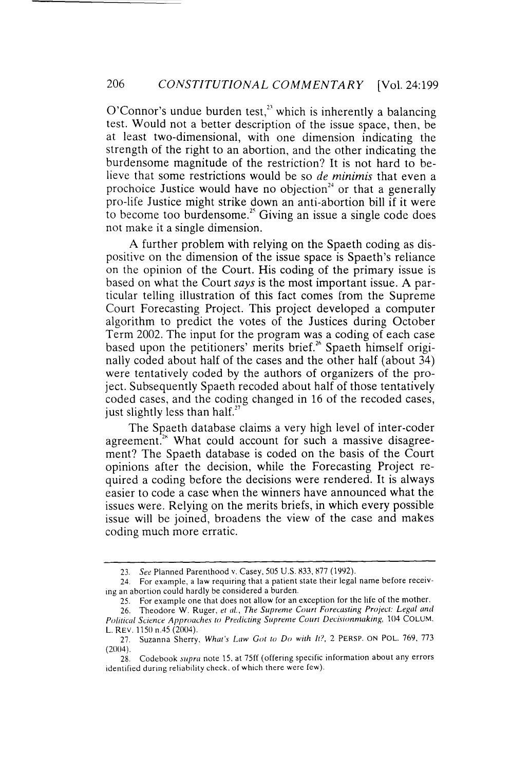O'Connor's undue burden test, $2<sup>23</sup>$  which is inherently a balancing test. Would not a better description of the issue space, then, be at least two-dimensional, with one dimension indicating the strength of the right to an abortion, and the other indicating the burdensome magnitude of the restriction? It is not hard to believe that some restrictions would be so *de minimis* that even a prochoice Justice would have no objection<sup> $24$ </sup> or that a generally pro-life Justice might strike down an anti-abortion bill if it were to become too burdensome.<sup>25</sup> Giving an issue a single code does not make it a single dimension.

A further problem with relying on the Spaeth coding as dispositive on the dimension of the issue space is Spaeth's reliance on the opinion of the Court. His coding of the primary issue is based on what the Court *says* is the most important issue. A particular telling illustration of this fact comes from the Supreme Court Forecasting Project. This project developed a computer algorithm to predict the votes of the Justices during October Term 2002. The input for the program was a coding of each case based upon the petitioners' merits brief.<sup>26</sup> Spaeth himself originally coded about half of the cases and the other half (about 34) were tentatively coded by the authors of organizers of the project. Subsequently Spaeth recoded about half of those tentatively coded cases, and the coding changed in 16 of the recoded cases, just slightly less than half.<sup>27</sup>

The Spaeth database claims a very high level of inter-coder agreement.<sup>28</sup> What could account for such a massive disagreement? The Spaeth database is coded on the basis of the Court opinions after the decision, while the Forecasting Project required a coding before the decisions were rendered. It is always easier to code a case when the winners have announced what the issues were. Relying on the merits briefs, in which every possible issue will be joined, broadens the view of the case and makes coding much more erratic.

<sup>23.</sup> *See* Planned Parenthood v. Casey, 505 U.S. 833, 877 (1992).

<sup>24.</sup> For example, a law requiring that a patient state their legal name before receiving an abortion could hardly be considered a burden.

<sup>25.</sup> For example one that does not allow for an exception for the life of the mother.

<sup>26.</sup> Theodore W. Ruger, et al., The Supreme Court Forecasting Project: Legal and Political Science Approaches to Predicting Supreme Court Decisionmaking, 104 COLUM. L. REV. 1150 n.45 (2004).

<sup>27.</sup> Suzanna Sherry. *What's Law Got to Do with It!,* 2 PERSP. ON POL. 769, 773  $(2004)$ .

<sup>28.</sup> Codebook *supra* note 15. at 75ff (offering specific information about any errors identified during reliability check. of which there were few).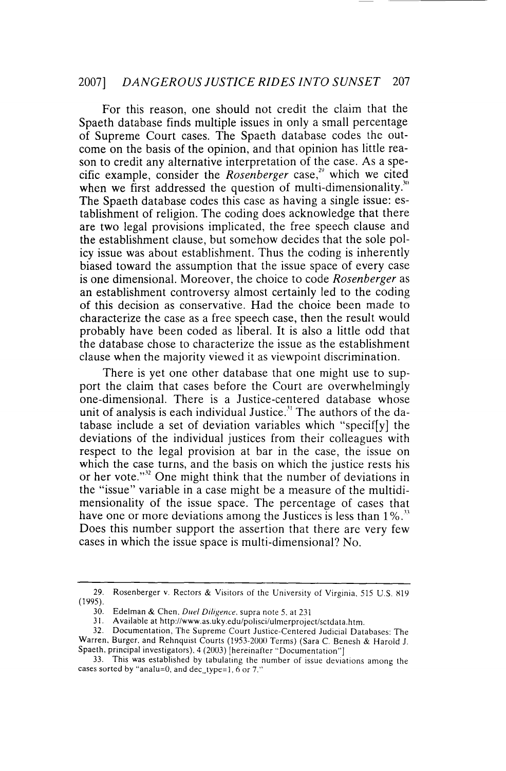For this reason, one should not credit the claim that the Spaeth database finds multiple issues in only a small percentage of Supreme Court cases. The Spaeth database codes the outcome on the basis of the opinion, and that opinion has little reason to credit any alternative interpretation of the case. As a specific example, consider the *Rosenberger* case,<sup>29</sup> which we cited when we first addressed the question of multi-dimensionality.<sup>30</sup> The Spaeth database codes this case as having a single issue: establishment of religion. The coding does acknowledge that there are two legal provisions implicated, the free speech clause and the establishment clause, but somehow decides that the sole policy issue was about establishment. Thus the coding is inherently biased toward the assumption that the issue space of every case is one dimensional. Moreover, the choice to code *Rosenberger* as an establishment controversy almost certainly led to the coding of this decision as conservative. Had the choice been made to characterize the case as a free speech case, then the result would probably have been coded as liberal. It is also a little odd that the database chose to characterize the issue as the establishment clause when the majority viewed it as viewpoint discrimination.

There is yet one other database that one might use to support the claim that cases before the Court are overwhelmingly one-dimensional. There is a Justice-centered database whose unit of analysis is each individual Justice.<sup>31</sup> The authors of the database include a set of deviation variables which "specif[y] the deviations of the individual justices from their colleagues with respect to the legal provision at bar in the case, the issue on which the case turns, and the basis on which the justice rests his or her vote."<sup>32</sup> One might think that the number of deviations in the "issue" variable in a case might be a measure of the multidimensionality of the issue space. The percentage of cases that have one or more deviations among the Justices is less than 1%.<sup>33</sup> Does this number support the assertion that there are very few cases in which the issue space is multi-dimensional? No.

<sup>29.</sup> Rosenberger v. Rectors & Visitors of the University of Virginia, 515 U.S. 819 (1995).

<sup>30.</sup> Edelman & Chen. *Duel Diligence.* supra note 5. at 231

<sup>31.</sup> Available at http://www.as.uky.edu/polisci/ulmerprojectlsctdata.htm.

<sup>32.</sup> Documentation, The Supreme Court Justice-Centered Judicial Databases: The Warren. Burger. and Rehnquist Courts (1953-2000 Terms) (Sara C. Benesh & Harold J. Spaeth, principal investigators). 4 (2003) [hereinafter "Documentation"]

<sup>33.</sup> This was established by tabulating the number of issue deviations among the cases sorted by "analu=0, and dec\_type=1,  $6$  or 7."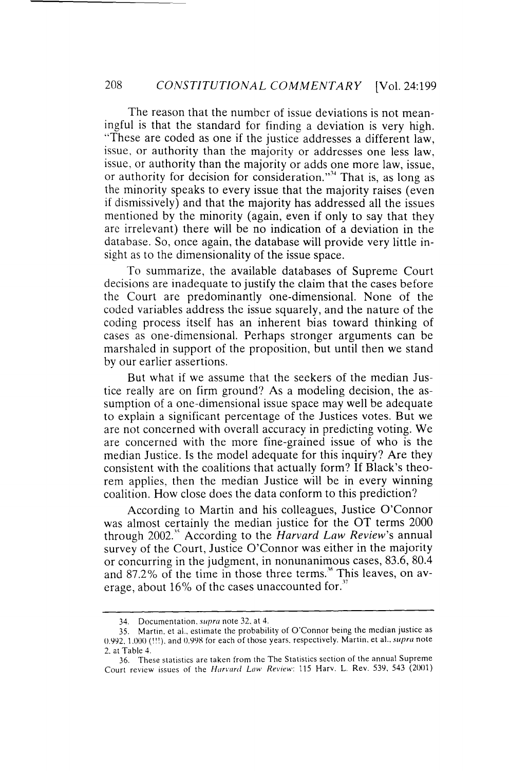The reason that the number of issue deviations is not meaningful is that the standard for finding a deviation is very high. ·'These are coded as one if the justice addresses a different law, issue, or authority than the majority or addresses one less law, issue, or authority than the majority or adds one more law, issue, or authority for decision for consideration."<sup>34</sup> That is, as long as the minority speaks to every issue that the majority raises (even if dismissively) and that the majority has addressed all the issues mentioned by the minority (again, even if only to say that they are irrelevant) there will be no indication of a deviation in the database. So, once again, the database will provide very little insight as to the dimensionality of the issue space.

To summarize, the available databases of Supreme Court decisions are inadequate to justify the claim that the cases before the Court are predominantly one-dimensional. None of the coded variables address the issue squarely, and the nature of the coding process itself has an inherent bias toward thinking of cases as one-dimensional. Perhaps stronger arguments can be marshaled in support of the proposition, but until then we stand by our earlier assertions.

But what if we assume that the seekers of the median Justice really are on firm ground? As a modeling decision, the assumption of a one-dimensional issue space may well be adequate to explain a significant percentage of the Justices votes. But we are not concerned with overall accuracy in predicting voting. We are concerned with the more fine-grained issue of who is the median Justice. Is the model adequate for this inquiry? Are they consistent with the coalitions that actually form? If Black's theorem applies, then the median Justice will be in every winning coalition. How close does the data conform to this prediction?

According to Martin and his colleagues, Justice O'Connor was almost certainly the median justice for the OT terms 2000 through 2002." According to the *Harvard Law Review's* annual survey of the Court, Justice O'Connor was either in the majority or concurring in the judgment, in nonunanimous cases, 83.6, 80.4 and 87.2% of the time in those three terms.<sup>\*</sup> This leaves, on average, about  $16\%$  of the cases unaccounted for."

<sup>34.</sup> Documentation. *supra* note 32. at 4.

<sup>35.</sup> Martin. et al.. estimate the probability of O'Connor being the median justice as 0.992, 1.000 (!!!). and 0.998 for each of those years. respectively. Martin. et al., *supra* note 2. at Table 4.

<sup>36.</sup> These statistics are taken from the The Statistics section of the annual Supreme Court review issues of the *Harvard Law Review:* 115 Harv. L. Rev. 539, 543 (2001)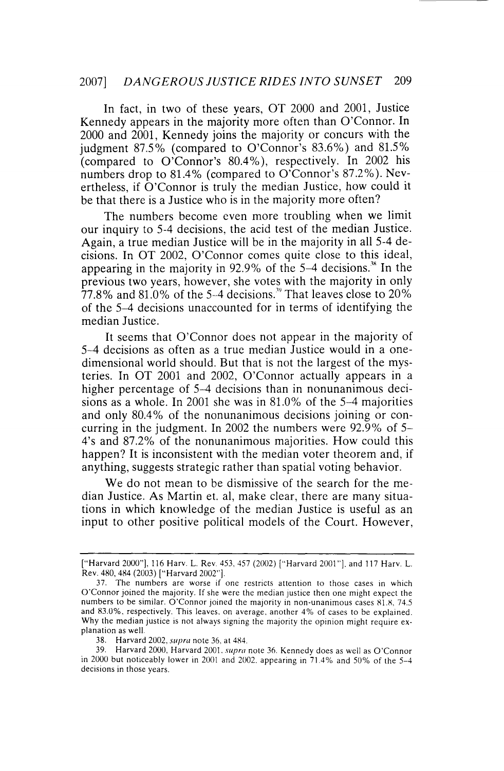In fact, in two of these years, OT 2000 and 2001, Justice Kennedy appears in the majority more often than O'Connor. In 2000 and 2001, Kennedy joins the majority or concurs with the judgment 87.5% (compared to O'Connor's 83.6%) and 81.5% (compared to O'Connor's 80.4%), respectively. In 2002 his numbers drop to 81.4% (compared to O'Connor's 87.2%). Nevertheless, if O'Connor is truly the median Justice, how could it be that there is a Justice who is in the majority more often?

The numbers become even more troubling when we limit our inquiry to 5-4 decisions, the acid test of the median Justice. Again, a true median Justice will be in the majority in all 5-4 decisions. In OT 2002, O'Connor comes quite close to this ideal, appearing in the majority in  $92.9\%$  of the 5-4 decisions.<sup>38</sup> In the previous two years, however, she votes with the majority in only 77.8% and 81.0% of the 5-4 decisions.<sup>39</sup> That leaves close to  $20\%$ of the 5-4 decisions unaccounted for in terms of identifying the median Justice.

It seems that O'Connor does not appear in the majority of 5-4 decisions as often as a true median Justice would in a onedimensional world should. But that is not the largest of the mysteries. In OT 2001 and 2002, O'Connor actually appears in a higher percentage of 5-4 decisions than in nonunanimous decisions as a whole. In 2001 she was in 81.0% of the 5-4 majorities and only 80.4% of the nonunanimous decisions joining or concurring in the judgment. In 2002 the numbers were 92.9% of 5- 4's and 87.2% of the nonunanimous majorities. How could this happen? It is inconsistent with the median voter theorem and, if anything, suggests strategic rather than spatial voting behavior.

We do not mean to be dismissive of the search for the median Justice. As Martin et. al, make clear, there are many situations in which knowledge of the median Justice is useful as an input to other positive political models of the Court. However,

<sup>[&</sup>quot;Harvard 2000"], 116 Harv. L. Rev. 453, 457 (2002) ["Harvard 2001"], and 117 Harv. L. Rev. 480, 484 (2003) ["Harvard 2002"].

<sup>37.</sup> The numbers are worse if one restricts attention to those cases in which O'Connor joined the majority. If she were the median justice then one might expect the numbers to be similar. O'Connor joined the majority in non-unanimous cases  $81.8$ , 74.5 and 83.0%, respectively. This leaves, on average, another 4% of cases to be explained. Why the median justice is not always signing the majority the opinion might require explanation as well.

<sup>38.</sup> Harvard 2002, *supra* note 36, at 484.

<sup>39.</sup> Harvard 2000, Harvard 2001. *supra* note 36. Kennedy does as well as O'Connor in 2000 but noticeably lower in 2001 and 2002. appearing in 71.4% and 50% of the 5-4 decisions in those years.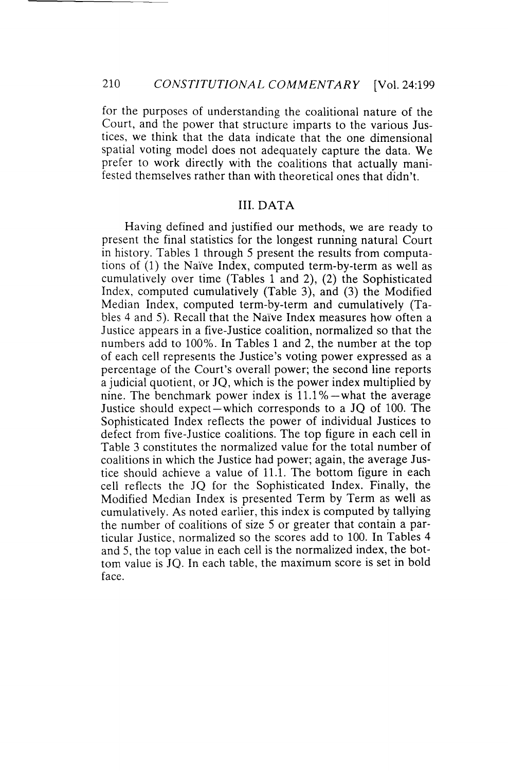for the purposes of understanding the coalitional nature of the Court, and the power that structure imparts to the various Justices, we think that the data indicate that the one dimensional spatial voting model does not adequately capture the data. We prefer to work directly with the coalitions that actually manifested themselves rather than with theoretical ones that didn't.

### III. DATA

Having defined and justified our methods, we are ready to present the final statistics for the longest running natural Court in history. Tables 1 through 5 present the results from computations of (1) the Naive Index, computed term-by-term as well as cumulatively over time (Tables 1 and 2), (2) the Sophisticated Index, computed cumulatively (Table 3), and (3) the Modified Median Index, computed term-by-term and cumulatively (Tables 4 and 5). Recall that the Naive Index measures how often a Justice appears in a five-Justice coalition, normalized so that the numbers add to 100%. In Tables 1 and 2, the number at the top of each cell represents the Justice's voting power expressed as a percentage of the Court's overall power; the second line reports a judicial quotient, or JQ, which is the power index multiplied by nine. The benchmark power index is  $11.1\%$  -what the average Justice should expect-which corresponds to a JQ of 100. The Sophisticated Index reflects the power of individual Justices to defect from five-Justice coalitions. The top figure in each cell in Table 3 constitutes the normalized value for the total number of coalitions in which the Justice had power; again, the average Justice should achieve a value of 11.1. The bottom figure in each cell reflects the JQ for the Sophisticated Index. Finally, the Modified Median Index is presented Term by Term as well as cumulatively. As noted earlier, this index is computed by tallying the number of coalitions of size 5 or greater that contain a particular Justice, normalized so the scores add to 100. In Tables 4 and 5, the top value in each cell is the normalized index, the bottom value is JQ. In each table, the maximum score is set in bold face.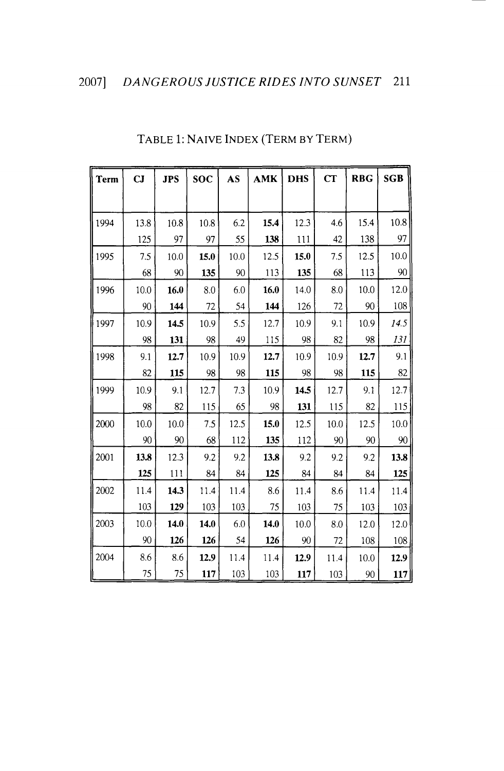| <b>Term</b> | CJ   | <b>JPS</b> | <b>SOC</b> | AS   | <b>AMK</b> | <b>DHS</b> | CT   | <b>RBG</b> | <b>SGB</b> |
|-------------|------|------------|------------|------|------------|------------|------|------------|------------|
|             |      |            |            |      |            |            |      |            |            |
| 1994        | 13.8 | 10.8       | 10.8       | 6.2  | 15.4       | 12.3       | 4.6  | 15.4       | 10.8       |
|             | 125  | 97         | 97         | 55   | 138        | 111        | 42   | 138        | 97         |
| 1995        | 7.5  | 10.0       | 15.0       | 10.0 | 12.5       | 15.0       | 7.5  | 12.5       | 10.0       |
|             | 68   | 90         | 135        | 90   | 113        | 135        | 68   | 113        | 90         |
| 1996        | 10.0 | 16.0       | 8.0        | 6.0  | 16.0       | 14.0       | 8.0  | 10.0       | 12.0       |
|             | 90   | 144        | 72         | 54   | 144        | 126        | 72   | 90         | 108        |
| 1997        | 10.9 | 14.5       | 10.9       | 5.5  | 12.7       | 10.9       | 9.1  | 10.9       | 14.5       |
|             | 98   | 131        | 98         | 49   | 115        | 98         | 82   | 98         | 131        |
| 1998        | 9.1  | 12.7       | 10.9       | 10.9 | 12.7       | 10.9       | 10.9 | 12.7       | 9.1        |
|             | 82   | 115        | 98         | 98   | 115        | 98         | 98   | 115        | 82         |
| 1999        | 10.9 | 9.1        | 12.7       | 7.3  | 10.9       | 14.5       | 12.7 | 9.1        | 12.7       |
|             | 98   | 82         | 115        | 65   | 98         | 131        | 115  | 82         | 115        |
| 2000        | 10.0 | 10.0       | 7.5        | 12.5 | 15.0       | 12.5       | 10.0 | 12.5       | 10.0       |
|             | 90   | 90         | 68         | 112  | 135        | 112        | 90   | 90         | 90         |
| 2001        | 13.8 | 12.3       | 9.2        | 9.2  | 13.8       | 9.2        | 9.2  | 9.2        | 13.8       |
|             | 125  | 111        | 84         | 84   | 125        | 84         | 84   | 84         | 125        |
| 2002        | 11.4 | 14.3       | 11.4       | 11.4 | 8.6        | 11.4       | 8.6  | 11.4       | 11.4       |
|             | 103  | 129        | 103        | 103  | 75         | 103        | 75   | 103        | 103        |
| 2003        | 10.0 | 14.0       | 14.0       | 6.0  | 14.0       | 10.0       | 8.0  | 12.0       | 12.0       |
|             | 90   | 126        | 126        | 54   | 126        | 90         | 72   | 108        | 108        |
| 2004        | 8.6  | 8.6        | 12.9       | 11.4 | 11.4       | 12.9       | 11.4 | 10.0       | 12.9       |
|             | 75   | 75         | 117        | 103  | 103        | 117        | 103  | 90         | 117        |

# TABLE **1:** NAIVE INDEX (TERM BY TERM)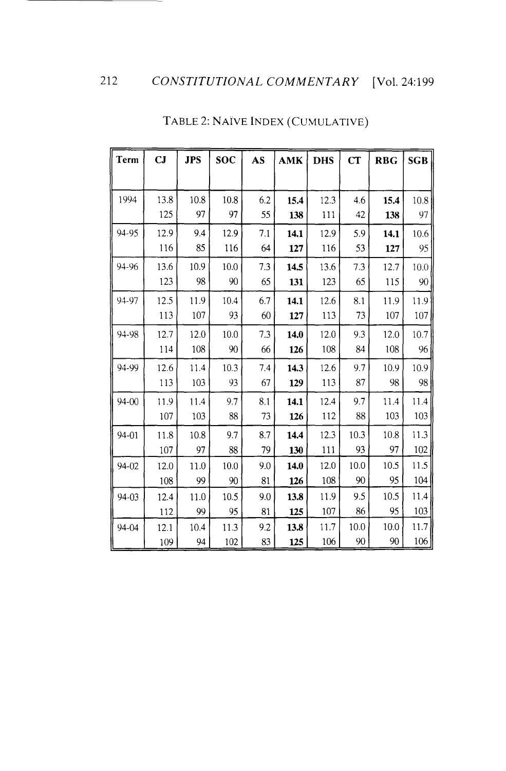| Term      | CJ   | <b>JPS</b> | <b>SOC</b> | AS  | AMK  | <b>DHS</b> | CT   | <b>RBG</b> | <b>SGB</b> |
|-----------|------|------------|------------|-----|------|------------|------|------------|------------|
|           |      |            |            |     |      |            |      |            |            |
| 1994      | 13.8 | 10.8       | 10.8       | 6.2 | 15.4 | 123        | 4.6  | 15.4       | 10.8       |
|           | 125  | 97         | 97         | 55  | 138  | 111        | 42   | 138        | 97         |
| 94-95     | 12.9 | 9.4        | 12.9       | 7.1 | 14.1 | 12.9       | 5.9  | 14.1       | 10.6       |
|           | 116  | 85         | 116        | 64  | 127  | 116        | 53   | 127        | 95         |
| 94-96     | 13.6 | 10.9       | 10.0       | 7.3 | 14.5 | 13.6       | 7.3  | 12.7       | 10.0       |
|           | 123  | 98         | 90         | 65  | 131  | 123        | 65   | 115        | 90         |
| 94-97     | 12.5 | 11.9       | 10.4       | 6.7 | 14.1 | 12.6       | 8.1  | 11.9       | 11.9       |
|           | 113  | 107        | 93         | 60  | 127  | 113        | 73   | 107        | 107        |
| 94-98     | 12.7 | 12.0       | 10.0       | 7.3 | 14.0 | 12.0       | 9.3  | 12.0       | 10.7       |
|           | 114  | 108        | 90         | 66  | 126  | 108        | 84   | 108        | 96         |
| 94-99     | 12.6 | 11.4       | 10.3       | 7.4 | 14.3 | 12.6       | 9.7  | 10.9       | 10.9       |
|           | 113  | 103        | 93         | 67  | 129  | 113        | 87   | 98         | 98         |
| $94 - 00$ | 11.9 | 11.4       | 9.7        | 8.1 | 14.1 | 12.4       | 97   | 11.4       | 11.4       |
|           | 107  | 103        | 88         | 73  | 126  | 112        | 88   | 103        | 103        |
| 94-01     | 11.8 | 10.8       | 9.7        | 8.7 | 14.4 | 12.3       | 10.3 | 10.8       | 11.3       |
|           | 107  | 97         | 88         | 79  | 130  | 111        | 93   | 97         | 102        |
| 94-02     | 12.0 | 11.0       | 10.0       | 9.0 | 14.0 | 12.0       | 10.0 | 10.5       | 11.5       |
|           | 108  | 99         | 90         | 81  | 126  | 108        | 90   | 95         | 104        |
| $94 - 03$ | 12.4 | 11.0       | 10.5       | 9.0 | 13.8 | 11.9       | 9.5  | 10.5       | 11.4       |
|           | 112  | 99         | 95         | 81  | 125  | 107        | 86   | 95         | 103        |
| 94-04     | 12.1 | 10.4       | 11.3       | 9.2 | 13.8 | 11.7       | 10.0 | 10.0       | 11.7       |
|           | 109  | 94         | 102        | 83  | 125  | 106        | 90   | 90         | 106        |

# TABLE 2: NAIVE INDEX (CUMULATIVE)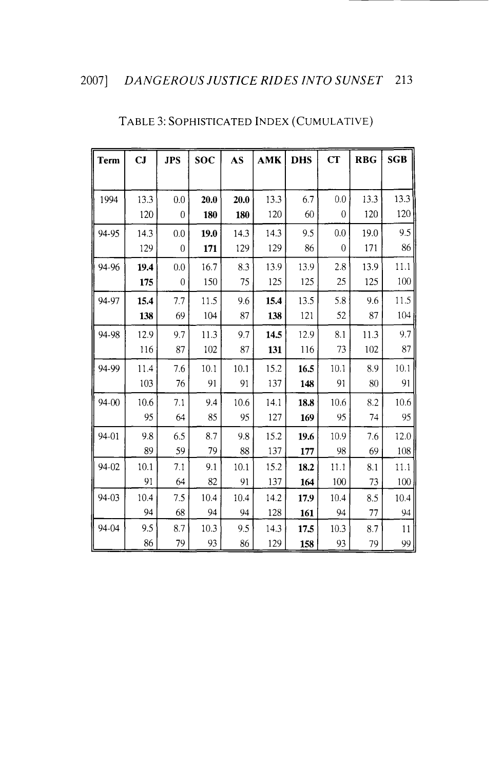| <b>Term</b> | CJ   | <b>JPS</b> | <b>SOC</b> | AS   | <b>AMK</b> | <b>DHS</b> | <b>CT</b>      | <b>RBG</b> | <b>SGB</b> |
|-------------|------|------------|------------|------|------------|------------|----------------|------------|------------|
|             |      |            |            |      |            |            |                |            |            |
| 1994        | 13.3 | 0.0        | 20.0       | 20.0 | 13.3       | 6.7        | 0.0            | 13.3       | 13.3       |
|             | 120  | $\theta$   | 180        | 180  | 120        | 60         | 0              | 120        | 120        |
| 94-95       | 14.3 | 0.0        | 19.0       | 14.3 | 14.3       | 9.5        | 0.0            | 19.0       | 9.5        |
|             | 129  | $\theta$   | 171        | 129  | 129        | 86         | $\overline{0}$ | 171        | 86         |
| 94-96       | 19.4 | 0.0        | 167        | 8.3  | 13.9       | 13.9       | 2.8            | 13.9       | 11.1       |
|             | 175  | $\theta$   | 150        | 75   | 125        | 125        | 25             | 125        | 100        |
| 94-97       | 15.4 | 7.7        | 11.5       | 9.6  | 15.4       | 13.5       | 5.8            | 9.6        | 11.5       |
|             | 138  | 69         | 104        | 87   | 138        | 121        | 52             | 87         | 104        |
| 94-98       | 12.9 | 9.7        | 11.3       | 9.7  | 14.5       | 12.9       | 8.1            | 11.3       | 9.7        |
|             | 116  | 87         | 102        | 87   | 131        | 116        | 73             | 102        | 87         |
| 94-99       | 11.4 | 7.6        | 10.1       | 10.1 | 15.2       | 16.5       | 10.1           | 8.9        | 10.1       |
|             | 103  | 76         | 91         | 91   | 137        | 148        | 91             | 80         | 91         |
| 94-00       | 10.6 | 7.1        | 9.4        | 10.6 | 14.1       | 18.8       | 10.6           | 8.2        | 10.6       |
|             | 95   | 64         | 85         | 95   | 127        | 169        | 95             | 74         | 95         |
| 94-01       | 9.8  | 6.5        | 87         | 9.8  | 15.2       | 19.6       | 10.9           | 7.6        | 12.0       |
|             | 89   | 59         | 79         | 88   | 137        | 177        | 98             | 69         | 108        |
| 94-02       | 10.1 | 7.1        | 9.1        | 10.1 | 15.2       | 18.2       | 11.1           | 8.1        | 11.1       |
|             | 91   | 64         | 82         | 91   | 137        | 164        | 100            | 73         | 100        |
| 94-03       | 10.4 | 7.5        | 10.4       | 10.4 | 14.2       | 17.9       | 10.4           | 8.5        | 10.4       |
|             | 94   | 68         | 94         | 94   | 128        | 161        | 94             | 77         | 94         |
| 94-04       | 9.5  | 8.7        | 10.3       | 9.5  | 14.3       | 17.5       | 10.3           | 8.7        | 11         |
|             | 86   | 79         | 93         | 86   | 129        | 158        | 93             | 79         | 99         |

# TABLE 3: SOPHISTICATED INDEX (CUMULATIVE)

<u> 1990 - Jan Jawa</u>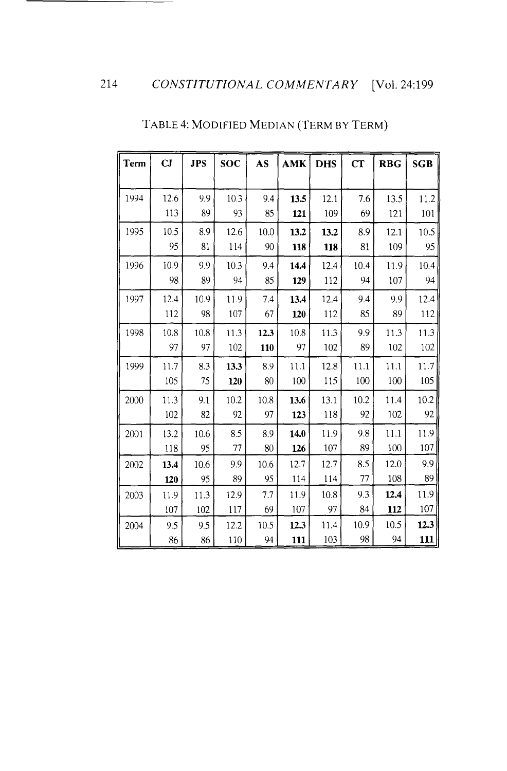| <b>Term</b> | CJ   | <b>JPS</b> | <b>SOC</b> | AS   | <b>AMK</b> | <b>DHS</b> | CT   | <b>RBG</b> | <b>SGB</b> |
|-------------|------|------------|------------|------|------------|------------|------|------------|------------|
|             |      |            |            |      |            |            |      |            |            |
| 1994        | 12.6 | 9.9        | 10.3       | 9.4  | 13.5       | 12.1       | 7.6  | 13.5       | 11.2       |
|             | 113  | 89         | 93         | 85   | 121        | 109        | 69   | 121        | 101        |
| 1995        | 10.5 | 8.9        | 12.6       | 10.0 | 13.2       | 13.2       | 8.9  | 12.1       | 10.5       |
|             | 95   | 81         | 114        | 90   | 118        | 118        | 81   | 109        | 95         |
| 1996        | 10.9 | 9.9        | 10.3       | 9.4  | 14.4       | 12.4       | 10.4 | 11.9       | 10.4       |
|             | 98   | 89         | 94         | 85   | 129        | 112        | 94   | 107        | 94         |
| 1997        | 12.4 | 10.9       | 11.9       | 7.4  | 13.4       | 12.4       | 9.4  | 9.9        | 12.4       |
|             | 112  | 98         | 107        | 67   | 120        | 112        | 85   | 89         | 112        |
| 1998        | 10.8 | 10.8       | 11.3       | 12.3 | 10.8       | 11.3       | 9.9  | 11.3       | 11.3       |
|             | 97   | 97         | 102        | 110  | 97         | 102        | 89   | 102        | 102        |
| 1999        | 11.7 | 8.3        | 13.3       | 8.9  | 11.1       | 12.8       | 11.1 | 11.1       | 11.7       |
|             | 105  | 75         | 120        | 80   | 100        | 115        | 100  | 100        | 105        |
| 2000        | 11.3 | 9.1        | 10.2       | 10.8 | 13.6       | 13.1       | 10.2 | 11.4       | 10.2       |
|             | 102  | 82         | 92         | 97   | 123        | 118        | 92   | 102        | 92         |
| 2001        | 13.2 | 10.6       | 8.5        | 8.9  | 14.0       | 11.9       | 9.8  | 11.1       | 11.9       |
|             | 118  | 95         | 77         | 80   | 126        | 107        | 89   | 100        | 107        |
| 2002        | 13.4 | 10.6       | 9.9        | 10.6 | 12.7       | 12.7       | 8.5  | 12.0       | 9.9        |
|             | 120  | 95         | 89         | 95   | 114        | 114        | 77   | 108        | 89         |
| 2003        | 11.9 | 11.3       | 12.9       | 7.7  | 11.9       | 10.8       | 9.3  | 12.4       | 11.9       |
|             | 107  | 102        | 117        | 69   | 107        | 97         | 84   | 112        | 107        |
| 2004        | 9.5  | 9.5        | 12.2       | 10.5 | 12.3       | 11.4       | 10.9 | 10.5       | 12.3       |
|             | 86   | 86         | 110        | 94   | 111        | 103        | 98   | 94         | 111        |

# TABLE 4: MODIFIED MEDIAN (TERM BY TERM)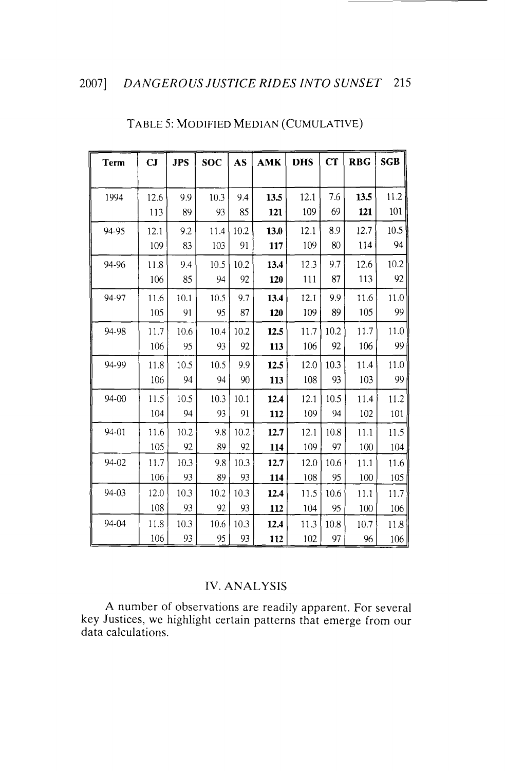| <b>Term</b> | CJ   | <b>JPS</b> | <b>SOC</b> | <b>AS</b> | AMK  | <b>DHS</b> | cr   | <b>RBG</b> | <b>SGB</b> |
|-------------|------|------------|------------|-----------|------|------------|------|------------|------------|
|             |      |            |            |           |      |            |      |            |            |
| 1994        | 12.6 | 9.9        | 10.3       | 9.4       | 13.5 | 12.1       | 7.6  | 13.5       | 11.2       |
|             | 113  | 89         | 93         | 85        | 121  | 109        | 69   | 121        | 101        |
| 94-95       | 12.1 | 92         | 11.4       | 10.2      | 13.0 | 12.1       | 8.9  | 12.7       | 10.5       |
|             | 109  | 83         | 103        | 91        | 117  | 109        | 80   | 114        | 94         |
| 94-96       | 11.8 | 9.4        | 10.5       | 10.2      | 13.4 | 12.3       | 9.7  | 12.6       | 10.2       |
|             | 106  | 85         | 94         | 92        | 120  | 111        | 87   | 113        | 92         |
| 94-97       | 11.6 | 10.1       | 10.5       | 9.7       | 13.4 | 12.1       | 9,9  | 11.6       | 11.0       |
|             | 105  | 91         | 95         | 87        | 120  | 109        | 89   | 105        | 99         |
| 94-98       | 11.7 | 10.6       | 10.4       | 10.2      | 12.5 | 11.7       | 10.2 | 11.7       | 11.0       |
|             | 106  | 95         | 93         | 92        | 113  | 106        | 92   | 106        | 99         |
| 94-99       | 11.8 | 10.5       | 10.5       | 9.9       | 12.5 | 12.0       | 10.3 | 11.4       | 11.0       |
|             | 106  | 94         | 94         | 90        | 113  | 108        | 93   | 103        | 99         |
| 94-00       | 11.5 | 10.5       | 10.3       | 10.1      | 12.4 | 12.1       | 10.5 | 11.4       | 11.2       |
|             | 104  | 94         | 93         | 91        | 112  | 109        | 94   | 102        | 101        |
| 94-01       | 11.6 | 10.2       | 9.8        | 10.2      | 12.7 | 12.1       | 10.8 | 11.1       | 11.5       |
|             | 105  | 92         | 89         | 92        | 114  | 109        | 97   | 100        | 104        |
| 94-02       | 11.7 | 10.3       | 9.8        | 10.3      | 12.7 | 12.0       | 10.6 | 11.1       | 11.6       |
|             | 106  | 93         | 89         | 93        | 114  | 108        | 95   | 100        | 105        |
| 94-03       | 12.0 | 10.3       | 10.2       | 10.3      | 12.4 | 11.5       | 10.6 | 11.1       | 11.7       |
|             | 108  | 93         | 92         | 93        | 112  | 104        | 95   | 100        | 106        |
| 94-04       | 11.8 | 10.3       | 10.6       | 10.3      | 12.4 | 11.3       | 10.8 | 10.7       | 11.8       |
|             | 106  | 93         | 95         | 93        | 112  | 102        | 97   | 96         | 106        |

### TABLE 5: MODIFIED MEDIAN (CUMULATIVE)

### IV. ANALYSIS

A number of observations are readily apparent. For several key Justices, we highlight certain patterns that emerge from our data calculations.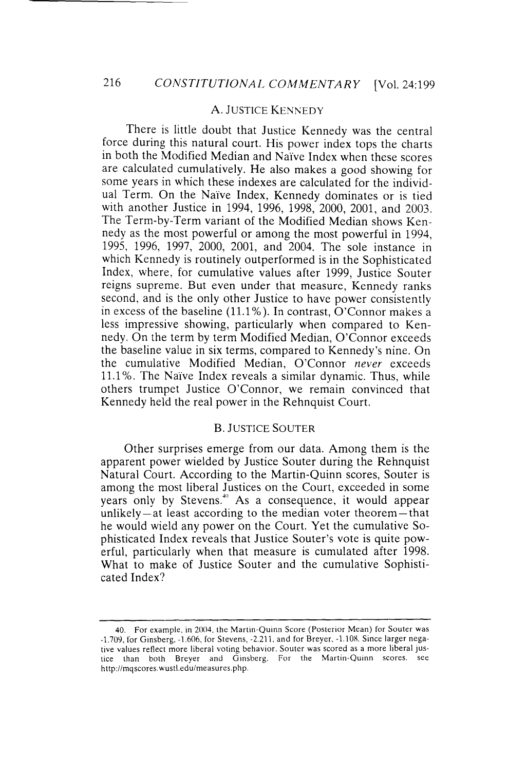#### A. JUSTICE KENNEDY

There is little doubt that Justice Kennedy was the central force during this natural court. His power index tops the charts in both the Modified Median and Naïve Index when these scores are calculated cumulatively. He also makes a good showing for some years in which these indexes are calculated for the individual Term. On the Naïve Index, Kennedy dominates or is tied with another Justice in 1994, 1996, 1998, 2000, 2001, and 2003. The Term-by-Term variant of the Modified Median shows Kennedy as the most powerful or among the most powerful in 1994, 1995, 1996, 1997, 2000, 2001, and 2004. The sole instance in which Kennedy is routinely outperformed is in the Sophisticated Index, where, for cumulative values after 1999, Justice Souter reigns supreme. But even under that measure, Kennedy ranks second, and is the only other Justice to have power consistently in excess of the baseline (11.1% ). In contrast, O'Connor makes a less impressive showing, particularly when compared to Kennedy. On the term by term Modified Median, O'Connor exceeds the baseline value in six terms, compared to Kennedy's nine. On the cumulative Modified Median, O'Connor *never* exceeds 11.1%. The Naïve Index reveals a similar dynamic. Thus, while others trumpet Justice O'Connor, we remain convinced that Kennedy held the real power in the Rehnquist Court.

### B. JUSTICE SOUTER

Other surprises emerge from our data. Among them is the apparent power wielded by Justice Souter during the Rehnquist Natural Court. According to the Martin-Quinn scores, Souter is among the most liberal Justices on the Court, exceeded in some years only by Stevens.<sup>40</sup> As a consequence, it would appear unlikely- at least according to the median voter theorem-that he would wield any power on the Court. Yet the cumulative Sophisticated Index reveals that Justice Souter's vote is quite powerful, particularly when that measure is cumulated after 1998. What to make of Justice Souter and the cumulative Sophisticated Index?

<sup>40.</sup> For example. in 2004. the Martin-Quinn Score (Posterior Mean) for Souter was  $-1.709$ , for Ginsberg,  $-1.606$ , for Stevens,  $-2.211$ , and for Breyer,  $-1.108$ . Since larger negative values reflect more liberal voting behavior. Souter was scored as a more liberal justice than both Breyer and Ginsberg. For the Martin-Quinn scores. see http://mqscores.wustl.edu/measures.php.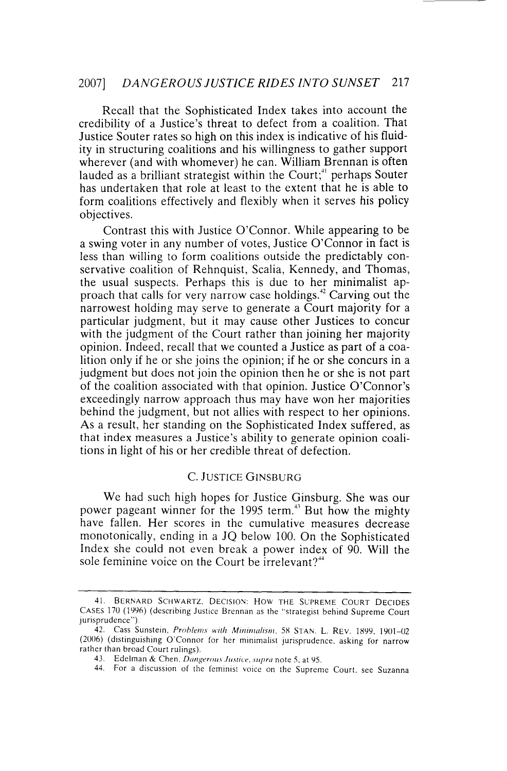Recall that the Sophisticated Index takes into account the credibility of a Justice's threat to defect from a coalition. That Justice Souter rates so high on this index is indicative of his fluidity in structuring coalitions and his willingness to gather support wherever (and with whomever) he can. William Brennan is often lauded as a brilliant strategist within the Court;<sup>41</sup> perhaps Souter has undertaken that role at least to the extent that he is able to form coalitions effectively and flexibly when it serves his policy objectives.

Contrast this with Justice O'Connor. While appearing to be a swing voter in any number of votes, Justice O'Connor in fact is less than willing to form coalitions outside the predictably conservative coalition of Rehnquist, Scalia, Kennedy, and Thomas, the usual suspects. Perhaps this is due to her minimalist approach that calls for very narrow case holdings.<sup>42</sup> Carving out the narrowest holding may serve to generate a Court majority for a particular judgment, but it may cause other Justices to concur with the judgment of the Court rather than joining her majority opinion. Indeed, recall that we counted a Justice as part of a coalition only if he or she joins the opinion; if he or she concurs in a judgment but does not join the opinion then he or she is not part of the coalition associated with that opinion. Justice O'Connor's exceedingly narrow approach thus may have won her majorities behind the judgment, but not allies with respect to her opinions. As a result, her standing on the Sophisticated Index suffered, as that index measures a Justice's ability to generate opinion coalitions in light of his or her credible threat of defection.

### C. JUSTICE GINSBURG

We had such high hopes for Justice Ginsburg. She was our power pageant winner for the 1995 term.<sup>43</sup> But how the mighty have fallen. Her scores in the cumulative measures decrease monotonically, ending in a JQ below 100. On the Sophisticated Index she could not even break a power index of 90. Will the sole feminine voice on the Court be  $irrelevant?$ <sup>44</sup>

<sup>41.</sup> BERNARD SCHWARTZ, DECISION: HOW THE SUPREME COURT DECIDES CASES 170 (1996) (describing Justice Brennan as the "strategist behind Supreme Court jurisprudence")

<sup>42.</sup> Cass Sunstein. *Problems with Minimalism*. 58 STAN. L. REV. 1899, 1901-02 (2006) (distinguishing O'Connor for her minimalist jurisprudence. asking for narrow rather than broad Court rulings).

<sup>43.</sup> Edelman & Chen. *Dangerous Justice*. *supra* note 5, at 95.

<sup>44.</sup> For a discussion of the feminist voice on the Supreme Court. see Suzanna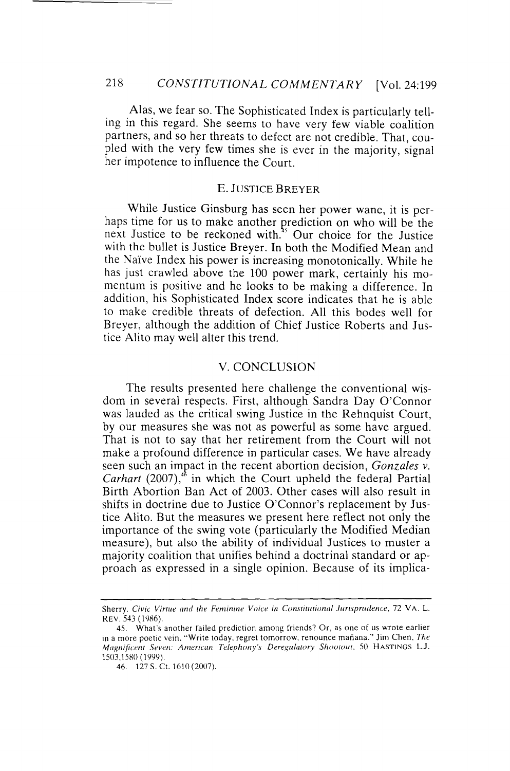Alas, we fear so. The Sophisticated Index is particularly telling in this regard. She seems to have very few viable coalition partners, and so her threats to defect are not credible. That, coupled with the very few times she is ever in the majority, signal her impotence to influence the Court.

### E. JUSTICE BREYER

While Justice Ginsburg has seen her power wane, it is perhaps time for us to make another prediction on who will be the next Justice to be reckoned with.<sup>45</sup> Our choice for the Justice with the bullet is Justice Breyer. In both the Modified Mean and the Naive Index his power is increasing monotonically. While he has just crawled above the 100 power mark, certainly his momentum is positive and he looks to be making a difference. In addition, his Sophisticated Index score indicates that he is able to make credible threats of defection. All this bodes well for Breyer, although the addition of Chief Justice Roberts and Justice Alita may well alter this trend.

### V. CONCLUSION

The results presented here challenge the conventional wisdom in several respects. First, although Sandra Day O'Connor was lauded as the critical swing Justice in the Rehnquist Court, by our measures she was not as powerful as some have argued. That is not to say that her retirement from the Court will not make a profound difference in particular cases. We have already seen such an impact in the recent abortion decision, *Gonzales v. Carhart*  $(2007)$ ,<sup>48</sup> in which the Court upheld the federal Partial Birth Abortion Ban Act of 2003. Other cases will also result in shifts in doctrine due to Justice O'Connor's replacement by Justice Alita. But the measures we present here reflect not only the importance of the swing vote (particularly the Modified Median measure), but also the ability of individual Justices to muster a majority coalition that unifies behind a doctrinal standard or approach as expressed in a single opinion. Because of its implica-

Sherry. Civic Virtue and the Feminine Voice in Constitutional Jurisprudence, 72 VA. L. REV. 543 (1986).

<sup>45.</sup> What's another failed prediction among friends? Or, as one of us wrote earlier in a more poetic vein. "Write today. regret tomorrow. renounce mafiana." Jim Chen. *The Magnificent Seven: American Telephony's Deregulatory Shootout*. 50 HASTINGS L.J. 1503,1580 (1999).

<sup>46 127</sup> S. Ct. 1610 (2007).